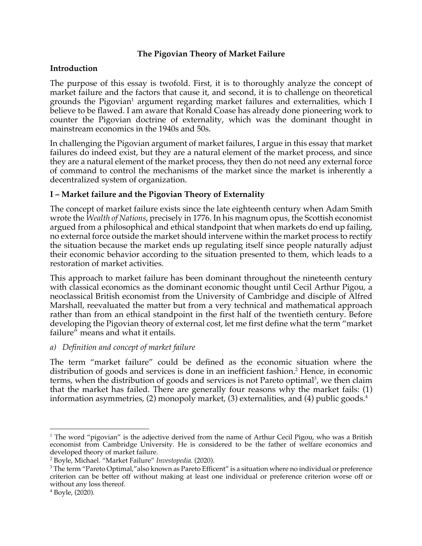# **The Pigovian Theory of Market Failure**

# **Introduction**

The purpose of this essay is twofold. First, it is to thoroughly analyze the concept of market failure and the factors that cause it, and second, it is to challenge on theoretical grounds the Pigovian<sup>1</sup> argument regarding market failures and externalities, which I believe to be flawed. I am aware that Ronald Coase has already done pioneering work to counter the Pigovian doctrine of externality, which was the dominant thought in mainstream economics in the 1940s and 50s.

In challenging the Pigovian argument of market failures, I argue in this essay that market failures do indeed exist, but they are a natural element of the market process, and since they are a natural element of the market process, they then do not need any external force of command to control the mechanisms of the market since the market is inherently a decentralized system of organization.

# **I – Market failure and the Pigovian Theory of Externality**

The concept of market failure exists since the late eighteenth century when Adam Smith wrote the *Wealth of Nations*, precisely in 1776. In his magnum opus, the Scottish economist argued from a philosophical and ethical standpoint that when markets do end up failing, no external force outside the market should intervene within the market process to rectify the situation because the market ends up regulating itself since people naturally adjust their economic behavior according to the situation presented to them, which leads to a restoration of market activities.

This approach to market failure has been dominant throughout the nineteenth century with classical economics as the dominant economic thought until Cecil Arthur Pigou, a neoclassical British economist from the University of Cambridge and disciple of Alfred Marshall, reevaluated the matter but from a very technical and mathematical approach rather than from an ethical standpoint in the first half of the twentieth century. Before developing the Pigovian theory of external cost, let me first define what the term "market failure" means and what it entails.

## *a) Definition and concept of market failure*

The term "market failure" could be defined as the economic situation where the distribution of goods and services is done in an inefficient fashion.<sup>2</sup> Hence, in economic terms, when the distribution of goods and services is not Pareto optimal<sup>3</sup>, we then claim that the market has failed. There are generally four reasons why the market fails: (1) information asymmetries,  $(2)$  monopoly market,  $(3)$  externalities, and  $(4)$  public goods.<sup>4</sup>

<sup>&</sup>lt;sup>1</sup> The word "pigovian" is the adjective derived from the name of Arthur Cecil Pigou, who was a British economist from Cambridge University. He is considered to be the father of welfare economics and developed theory of market failure.

<sup>2</sup> Boyle, Michael. "Market Failure" *Investopedia.* (2020).

<sup>&</sup>lt;sup>3</sup> The term "Pareto Optimal," also known as Pareto Efficent" is a situation where no individual or preference criterion can be better off without making at least one individual or preference criterion worse off or without any loss thereof.

<sup>4</sup> Boyle, (2020).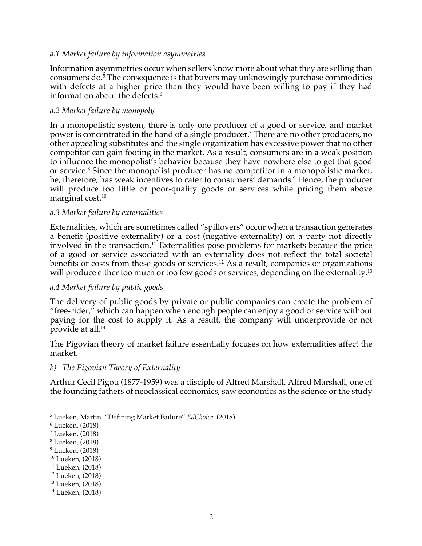### *a.1 Market failure by information asymmetries*

Information asymmetries occur when sellers know more about what they are selling than consumers do.5 The consequence is that buyers may unknowingly purchase commodities with defects at a higher price than they would have been willing to pay if they had information about the defects.<sup>6</sup>

#### *a.2 Market failure by monopoly*

In a monopolistic system, there is only one producer of a good or service, and market power is concentrated in the hand of a single producer.7 There are no other producers, no other appealing substitutes and the single organization has excessive power that no other competitor can gain footing in the market. As a result, consumers are in a weak position to influence the monopolist's behavior because they have nowhere else to get that good or service.<sup>8</sup> Since the monopolist producer has no competitor in a monopolistic market, he, therefore, has weak incentives to cater to consumers' demands.<sup>9</sup> Hence, the producer will produce too little or poor-quality goods or services while pricing them above marginal cost.<sup>10</sup>

### *a.3 Market failure by externalities*

Externalities, which are sometimes called "spillovers" occur when a transaction generates a benefit (positive externality) or a cost (negative externality) on a party not directly involved in the transaction.<sup>11</sup> Externalities pose problems for markets because the price of a good or service associated with an externality does not reflect the total societal benefits or costs from these goods or services.<sup>12</sup> As a result, companies or organizations will produce either too much or too few goods or services, depending on the externality.<sup>13</sup>

## *a.4 Market failure by public goods*

The delivery of public goods by private or public companies can create the problem of "free-rider," which can happen when enough people can enjoy a good or service without paying for the cost to supply it. As a result, the company will underprovide or not provide at all.14

The Pigovian theory of market failure essentially focuses on how externalities affect the market.

#### *b) The Pigovian Theory of Externality*

Arthur Cecil Pigou (1877-1959) was a disciple of Alfred Marshall. Alfred Marshall, one of the founding fathers of neoclassical economics, saw economics as the science or the study

<sup>10</sup> Lueken, (2018)

<sup>5</sup> Lueken, Martin. "Defining Market Failure" *EdChoice.* (2018).

<sup>6</sup> Lueken, (2018)

<sup>7</sup> Lueken, (2018)

<sup>8</sup> Lueken, (2018)

<sup>9</sup> Lueken, (2018)

<sup>11</sup> Lueken, (2018)

<sup>12</sup> Lueken, (2018)

<sup>13</sup> Lueken, (2018)

<sup>14</sup> Lueken, (2018)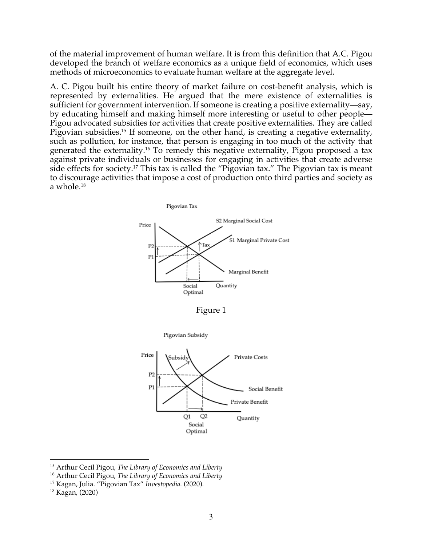of the material improvement of human welfare. It is from this definition that A.C. Pigou developed the branch of welfare economics as a unique field of economics, which uses methods of microeconomics to evaluate human welfare at the aggregate level.

A. C. Pigou built his entire theory of market failure on cost-benefit analysis, which is represented by externalities. He argued that the mere existence of externalities is sufficient for government intervention. If someone is creating a positive externality—say, by educating himself and making himself more interesting or useful to other people— Pigou advocated subsidies for activities that create positive externalities. They are called Pigovian subsidies.<sup>15</sup> If someone, on the other hand, is creating a negative externality, such as pollution, for instance, that person is engaging in too much of the activity that generated the externality.<sup>16</sup> To remedy this negative externality, Pigou proposed a tax against private individuals or businesses for engaging in activities that create adverse side effects for society.<sup>17</sup> This tax is called the "Pigovian tax." The Pigovian tax is meant to discourage activities that impose a cost of production onto third parties and society as a whole.18





<sup>15</sup> Arthur Cecil Pigou, *The Library of Economics and Liberty*

<sup>16</sup> Arthur Cecil Pigou, *The Library of Economics and Liberty*

<sup>17</sup> Kagan, Julia. "Pigovian Tax" *Investopedia.* (2020).

<sup>18</sup> Kagan, (2020)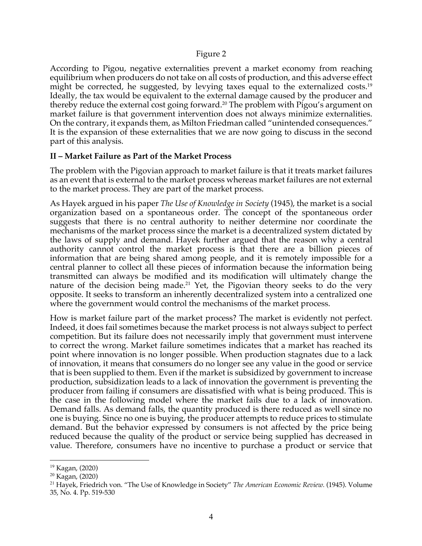#### Figure 2

According to Pigou, negative externalities prevent a market economy from reaching equilibrium when producers do not take on all costs of production, and this adverse effect might be corrected, he suggested, by levying taxes equal to the externalized costs.<sup>19</sup> Ideally, the tax would be equivalent to the external damage caused by the producer and thereby reduce the external cost going forward.<sup>20</sup> The problem with Pigou's argument on market failure is that government intervention does not always minimize externalities. On the contrary, it expands them, as Milton Friedman called "unintended consequences." It is the expansion of these externalities that we are now going to discuss in the second part of this analysis.

## **II – Market Failure as Part of the Market Process**

The problem with the Pigovian approach to market failure is that it treats market failures as an event that is external to the market process whereas market failures are not external to the market process. They are part of the market process.

As Hayek argued in his paper *The Use of Knowledge in Society* (1945), the market is a social organization based on a spontaneous order. The concept of the spontaneous order suggests that there is no central authority to neither determine nor coordinate the mechanisms of the market process since the market is a decentralized system dictated by the laws of supply and demand. Hayek further argued that the reason why a central authority cannot control the market process is that there are a billion pieces of information that are being shared among people, and it is remotely impossible for a central planner to collect all these pieces of information because the information being transmitted can always be modified and its modification will ultimately change the nature of the decision being made.<sup>21</sup> Yet, the Pigovian theory seeks to do the very opposite. It seeks to transform an inherently decentralized system into a centralized one where the government would control the mechanisms of the market process.

How is market failure part of the market process? The market is evidently not perfect. Indeed, it does fail sometimes because the market process is not always subject to perfect competition. But its failure does not necessarily imply that government must intervene to correct the wrong. Market failure sometimes indicates that a market has reached its point where innovation is no longer possible. When production stagnates due to a lack of innovation, it means that consumers do no longer see any value in the good or service that is been supplied to them. Even if the market is subsidized by government to increase production, subsidization leads to a lack of innovation the government is preventing the producer from failing if consumers are dissatisfied with what is being produced. This is the case in the following model where the market fails due to a lack of innovation. Demand falls. As demand falls, the quantity produced is there reduced as well since no one is buying. Since no one is buying, the producer attempts to reduce prices to stimulate demand. But the behavior expressed by consumers is not affected by the price being reduced because the quality of the product or service being supplied has decreased in value. Therefore, consumers have no incentive to purchase a product or service that

<sup>19</sup> Kagan, (2020)

<sup>20</sup> Kagan, (2020)

<sup>21</sup> Hayek, Friedrich von. "The Use of Knowledge in Society" *The American Economic Review.* (1945). Volume 35, No. 4. Pp. 519-530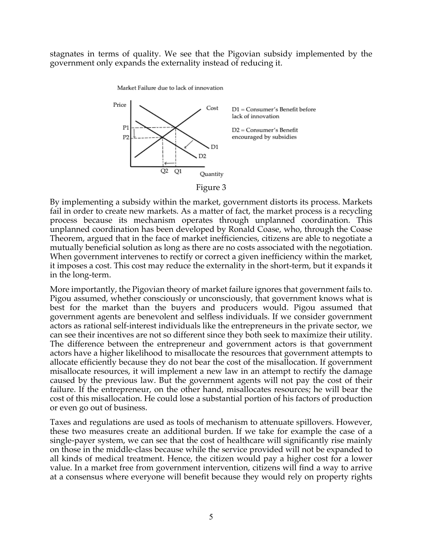stagnates in terms of quality. We see that the Pigovian subsidy implemented by the government only expands the externality instead of reducing it.

Market Failure due to lack of innovation



Figure 3

By implementing a subsidy within the market, government distorts its process. Markets fail in order to create new markets. As a matter of fact, the market process is a recycling process because its mechanism operates through unplanned coordination. This unplanned coordination has been developed by Ronald Coase, who, through the Coase Theorem, argued that in the face of market inefficiencies, citizens are able to negotiate a mutually beneficial solution as long as there are no costs associated with the negotiation. When government intervenes to rectify or correct a given inefficiency within the market, it imposes a cost. This cost may reduce the externality in the short-term, but it expands it in the long-term.

More importantly, the Pigovian theory of market failure ignores that government fails to. Pigou assumed, whether consciously or unconsciously, that government knows what is best for the market than the buyers and producers would. Pigou assumed that government agents are benevolent and selfless individuals. If we consider government actors as rational self-interest individuals like the entrepreneurs in the private sector, we can see their incentives are not so different since they both seek to maximize their utility. The difference between the entrepreneur and government actors is that government actors have a higher likelihood to misallocate the resources that government attempts to allocate efficiently because they do not bear the cost of the misallocation. If government misallocate resources, it will implement a new law in an attempt to rectify the damage caused by the previous law. But the government agents will not pay the cost of their failure. If the entrepreneur, on the other hand, misallocates resources; he will bear the cost of this misallocation. He could lose a substantial portion of his factors of production or even go out of business.

Taxes and regulations are used as tools of mechanism to attenuate spillovers. However, these two measures create an additional burden. If we take for example the case of a single-payer system, we can see that the cost of healthcare will significantly rise mainly on those in the middle-class because while the service provided will not be expanded to all kinds of medical treatment. Hence, the citizen would pay a higher cost for a lower value. In a market free from government intervention, citizens will find a way to arrive at a consensus where everyone will benefit because they would rely on property rights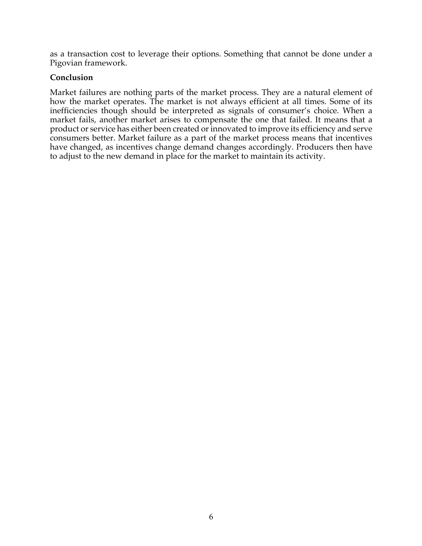as a transaction cost to leverage their options. Something that cannot be done under a Pigovian framework.

## **Conclusion**

Market failures are nothing parts of the market process. They are a natural element of how the market operates. The market is not always efficient at all times. Some of its inefficiencies though should be interpreted as signals of consumer's choice. When a market fails, another market arises to compensate the one that failed. It means that a product or service has either been created or innovated to improve its efficiency and serve consumers better. Market failure as a part of the market process means that incentives have changed, as incentives change demand changes accordingly. Producers then have to adjust to the new demand in place for the market to maintain its activity.